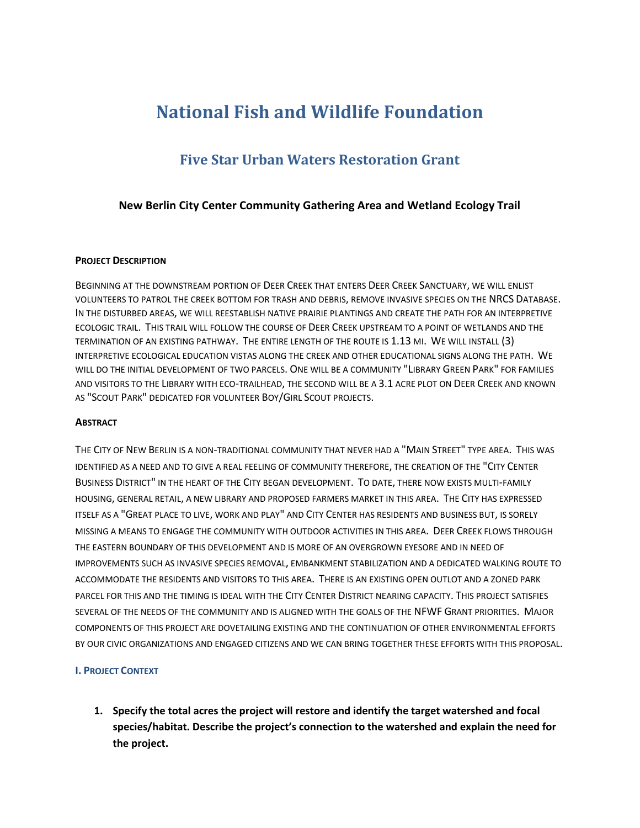# **National Fish and Wildlife Foundation**

# **Five Star Urban Waters Restoration Grant**

#### **New Berlin City Center Community Gathering Area and Wetland Ecology Trail**

#### **PROJECT DESCRIPTION**

BEGINNING AT THE DOWNSTREAM PORTION OF DEER CREEK THAT ENTERS DEER CREEK SANCTUARY, WE WILL ENLIST VOLUNTEERS TO PATROL THE CREEK BOTTOM FOR TRASH AND DEBRIS, REMOVE INVASIVE SPECIES ON THE NRCS DATABASE. IN THE DISTURBED AREAS, WE WILL REESTABLISH NATIVE PRAIRIE PLANTINGS AND CREATE THE PATH FOR AN INTERPRETIVE ECOLOGIC TRAIL. THIS TRAIL WILL FOLLOW THE COURSE OF DEER CREEK UPSTREAM TO A POINT OF WETLANDS AND THE TERMINATION OF AN EXISTING PATHWAY. THE ENTIRE LENGTH OF THE ROUTE IS 1.13 MI. WE WILL INSTALL (3) INTERPRETIVE ECOLOGICAL EDUCATION VISTAS ALONG THE CREEK AND OTHER EDUCATIONAL SIGNS ALONG THE PATH. WE WILL DO THE INITIAL DEVELOPMENT OF TWO PARCELS. ONE WILL BE A COMMUNITY "LIBRARY GREEN PARK" FOR FAMILIES AND VISITORS TO THE LIBRARY WITH ECO-TRAILHEAD, THE SECOND WILL BE A 3.1 ACRE PLOT ON DEER CREEK AND KNOWN AS "SCOUT PARK" DEDICATED FOR VOLUNTEER BOY/GIRL SCOUT PROJECTS.

#### **ABSTRACT**

THE CITY OF NEW BERLIN IS A NON-TRADITIONAL COMMUNITY THAT NEVER HAD A "MAIN STREET" TYPE AREA. THIS WAS IDENTIFIED AS A NEED AND TO GIVE A REAL FEELING OF COMMUNITY THEREFORE, THE CREATION OF THE "CITY CENTER BUSINESS DISTRICT" IN THE HEART OF THE CITY BEGAN DEVELOPMENT. TO DATE, THERE NOW EXISTS MULTI-FAMILY HOUSING, GENERAL RETAIL, A NEW LIBRARY AND PROPOSED FARMERS MARKET IN THIS AREA. THE CITY HAS EXPRESSED ITSELF AS A "GREAT PLACE TO LIVE, WORK AND PLAY" AND CITY CENTER HAS RESIDENTS AND BUSINESS BUT, IS SORELY MISSING A MEANS TO ENGAGE THE COMMUNITY WITH OUTDOOR ACTIVITIES IN THIS AREA. DEER CREEK FLOWS THROUGH THE EASTERN BOUNDARY OF THIS DEVELOPMENT AND IS MORE OF AN OVERGROWN EYESORE AND IN NEED OF IMPROVEMENTS SUCH AS INVASIVE SPECIES REMOVAL, EMBANKMENT STABILIZATION AND A DEDICATED WALKING ROUTE TO ACCOMMODATE THE RESIDENTS AND VISITORS TO THIS AREA. THERE IS AN EXISTING OPEN OUTLOT AND A ZONED PARK PARCEL FOR THIS AND THE TIMING IS IDEAL WITH THE CITY CENTER DISTRICT NEARING CAPACITY. THIS PROJECT SATISFIES SEVERAL OF THE NEEDS OF THE COMMUNITY AND IS ALIGNED WITH THE GOALS OF THE NFWF GRANT PRIORITIES. MAJOR COMPONENTS OF THIS PROJECT ARE DOVETAILING EXISTING AND THE CONTINUATION OF OTHER ENVIRONMENTAL EFFORTS BY OUR CIVIC ORGANIZATIONS AND ENGAGED CITIZENS AND WE CAN BRING TOGETHER THESE EFFORTS WITH THIS PROPOSAL.

#### **I. PROJECT CONTEXT**

**1. Specify the total acres the project will restore and identify the target watershed and focal species/habitat. Describe the project's connection to the watershed and explain the need for the project.**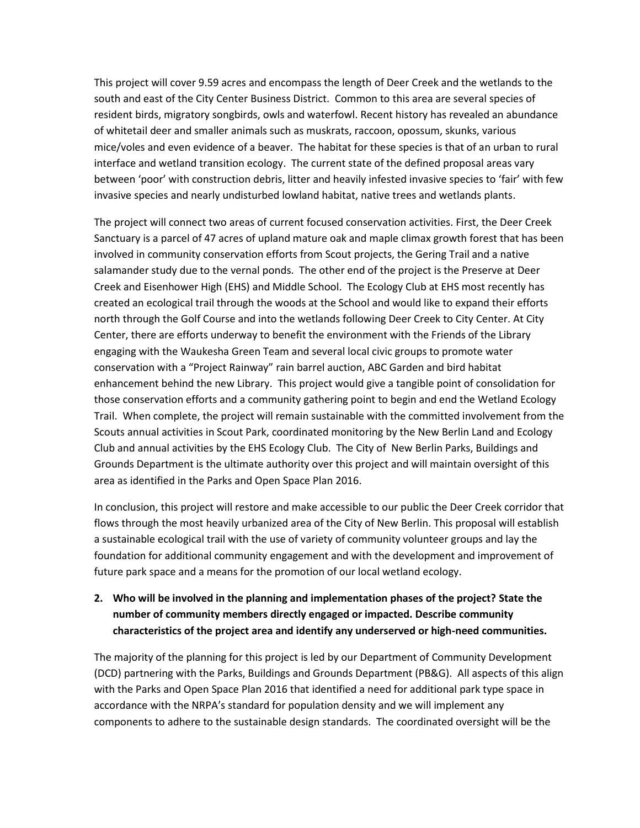This project will cover 9.59 acres and encompass the length of Deer Creek and the wetlands to the south and east of the City Center Business District. Common to this area are several species of resident birds, migratory songbirds, owls and waterfowl. Recent history has revealed an abundance of whitetail deer and smaller animals such as muskrats, raccoon, opossum, skunks, various mice/voles and even evidence of a beaver. The habitat for these species is that of an urban to rural interface and wetland transition ecology. The current state of the defined proposal areas vary between 'poor' with construction debris, litter and heavily infested invasive species to 'fair' with few invasive species and nearly undisturbed lowland habitat, native trees and wetlands plants.

The project will connect two areas of current focused conservation activities. First, the Deer Creek Sanctuary is a parcel of 47 acres of upland mature oak and maple climax growth forest that has been involved in community conservation efforts from Scout projects, the Gering Trail and a native salamander study due to the vernal ponds. The other end of the project is the Preserve at Deer Creek and Eisenhower High (EHS) and Middle School. The Ecology Club at EHS most recently has created an ecological trail through the woods at the School and would like to expand their efforts north through the Golf Course and into the wetlands following Deer Creek to City Center. At City Center, there are efforts underway to benefit the environment with the Friends of the Library engaging with the Waukesha Green Team and several local civic groups to promote water conservation with a "Project Rainway" rain barrel auction, ABC Garden and bird habitat enhancement behind the new Library. This project would give a tangible point of consolidation for those conservation efforts and a community gathering point to begin and end the Wetland Ecology Trail. When complete, the project will remain sustainable with the committed involvement from the Scouts annual activities in Scout Park, coordinated monitoring by the New Berlin Land and Ecology Club and annual activities by the EHS Ecology Club. The City of New Berlin Parks, Buildings and Grounds Department is the ultimate authority over this project and will maintain oversight of this area as identified in the Parks and Open Space Plan 2016.

In conclusion, this project will restore and make accessible to our public the Deer Creek corridor that flows through the most heavily urbanized area of the City of New Berlin. This proposal will establish a sustainable ecological trail with the use of variety of community volunteer groups and lay the foundation for additional community engagement and with the development and improvement of future park space and a means for the promotion of our local wetland ecology.

## **2. Who will be involved in the planning and implementation phases of the project? State the number of community members directly engaged or impacted. Describe community characteristics of the project area and identify any underserved or high-need communities.**

The majority of the planning for this project is led by our Department of Community Development (DCD) partnering with the Parks, Buildings and Grounds Department (PB&G). All aspects of this align with the Parks and Open Space Plan 2016 that identified a need for additional park type space in accordance with the NRPA's standard for population density and we will implement any components to adhere to the sustainable design standards. The coordinated oversight will be the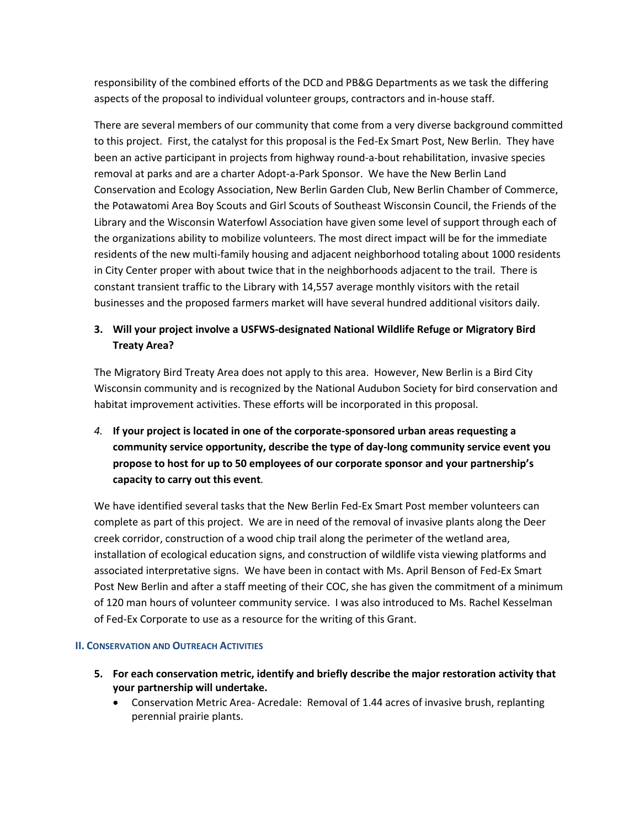responsibility of the combined efforts of the DCD and PB&G Departments as we task the differing aspects of the proposal to individual volunteer groups, contractors and in-house staff.

There are several members of our community that come from a very diverse background committed to this project. First, the catalyst for this proposal is the Fed-Ex Smart Post, New Berlin. They have been an active participant in projects from highway round-a-bout rehabilitation, invasive species removal at parks and are a charter Adopt-a-Park Sponsor. We have the New Berlin Land Conservation and Ecology Association, New Berlin Garden Club, New Berlin Chamber of Commerce, the Potawatomi Area Boy Scouts and Girl Scouts of Southeast Wisconsin Council, the Friends of the Library and the Wisconsin Waterfowl Association have given some level of support through each of the organizations ability to mobilize volunteers. The most direct impact will be for the immediate residents of the new multi-family housing and adjacent neighborhood totaling about 1000 residents in City Center proper with about twice that in the neighborhoods adjacent to the trail. There is constant transient traffic to the Library with 14,557 average monthly visitors with the retail businesses and the proposed farmers market will have several hundred additional visitors daily.

# **3. Will your project involve a USFWS-designated National Wildlife Refuge or Migratory Bird Treaty Area?**

The Migratory Bird Treaty Area does not apply to this area. However, New Berlin is a Bird City Wisconsin community and is recognized by the National Audubon Society for bird conservation and habitat improvement activities. These efforts will be incorporated in this proposal.

*4.* **If your project is located in one of the corporate-sponsored urban areas requesting a community service opportunity, describe the type of day-long community service event you propose to host for up to 50 employees of our corporate sponsor and your partnership's capacity to carry out this event***.*

We have identified several tasks that the New Berlin Fed-Ex Smart Post member volunteers can complete as part of this project. We are in need of the removal of invasive plants along the Deer creek corridor, construction of a wood chip trail along the perimeter of the wetland area, installation of ecological education signs, and construction of wildlife vista viewing platforms and associated interpretative signs. We have been in contact with Ms. April Benson of Fed-Ex Smart Post New Berlin and after a staff meeting of their COC, she has given the commitment of a minimum of 120 man hours of volunteer community service. I was also introduced to Ms. Rachel Kesselman of Fed-Ex Corporate to use as a resource for the writing of this Grant.

#### **II. CONSERVATION AND OUTREACH ACTIVITIES**

- **5. For each conservation metric, identify and briefly describe the major restoration activity that your partnership will undertake.**
	- Conservation Metric Area- Acredale: Removal of 1.44 acres of invasive brush, replanting perennial prairie plants.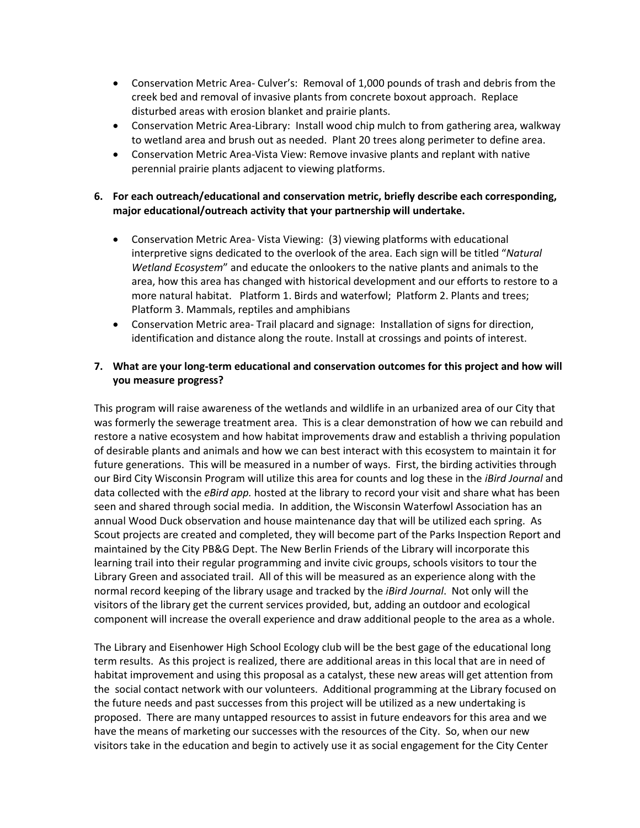- Conservation Metric Area- Culver's: Removal of 1,000 pounds of trash and debris from the creek bed and removal of invasive plants from concrete boxout approach. Replace disturbed areas with erosion blanket and prairie plants.
- Conservation Metric Area-Library: Install wood chip mulch to from gathering area, walkway to wetland area and brush out as needed. Plant 20 trees along perimeter to define area.
- Conservation Metric Area-Vista View: Remove invasive plants and replant with native perennial prairie plants adjacent to viewing platforms.

#### **6. For each outreach/educational and conservation metric, briefly describe each corresponding, major educational/outreach activity that your partnership will undertake.**

- Conservation Metric Area- Vista Viewing: (3) viewing platforms with educational interpretive signs dedicated to the overlook of the area. Each sign will be titled "*Natural Wetland Ecosystem*" and educate the onlookers to the native plants and animals to the area, how this area has changed with historical development and our efforts to restore to a more natural habitat. Platform 1. Birds and waterfowl; Platform 2. Plants and trees; Platform 3. Mammals, reptiles and amphibians
- Conservation Metric area- Trail placard and signage: Installation of signs for direction, identification and distance along the route. Install at crossings and points of interest.

### **7. What are your long-term educational and conservation outcomes for this project and how will you measure progress?**

This program will raise awareness of the wetlands and wildlife in an urbanized area of our City that was formerly the sewerage treatment area. This is a clear demonstration of how we can rebuild and restore a native ecosystem and how habitat improvements draw and establish a thriving population of desirable plants and animals and how we can best interact with this ecosystem to maintain it for future generations. This will be measured in a number of ways. First, the birding activities through our Bird City Wisconsin Program will utilize this area for counts and log these in the *iBird Journal* and data collected with the *eBird app.* hosted at the library to record your visit and share what has been seen and shared through social media. In addition, the Wisconsin Waterfowl Association has an annual Wood Duck observation and house maintenance day that will be utilized each spring. As Scout projects are created and completed, they will become part of the Parks Inspection Report and maintained by the City PB&G Dept. The New Berlin Friends of the Library will incorporate this learning trail into their regular programming and invite civic groups, schools visitors to tour the Library Green and associated trail. All of this will be measured as an experience along with the normal record keeping of the library usage and tracked by the *iBird Journal*. Not only will the visitors of the library get the current services provided, but, adding an outdoor and ecological component will increase the overall experience and draw additional people to the area as a whole.

The Library and Eisenhower High School Ecology club will be the best gage of the educational long term results. As this project is realized, there are additional areas in this local that are in need of habitat improvement and using this proposal as a catalyst, these new areas will get attention from the social contact network with our volunteers. Additional programming at the Library focused on the future needs and past successes from this project will be utilized as a new undertaking is proposed. There are many untapped resources to assist in future endeavors for this area and we have the means of marketing our successes with the resources of the City. So, when our new visitors take in the education and begin to actively use it as social engagement for the City Center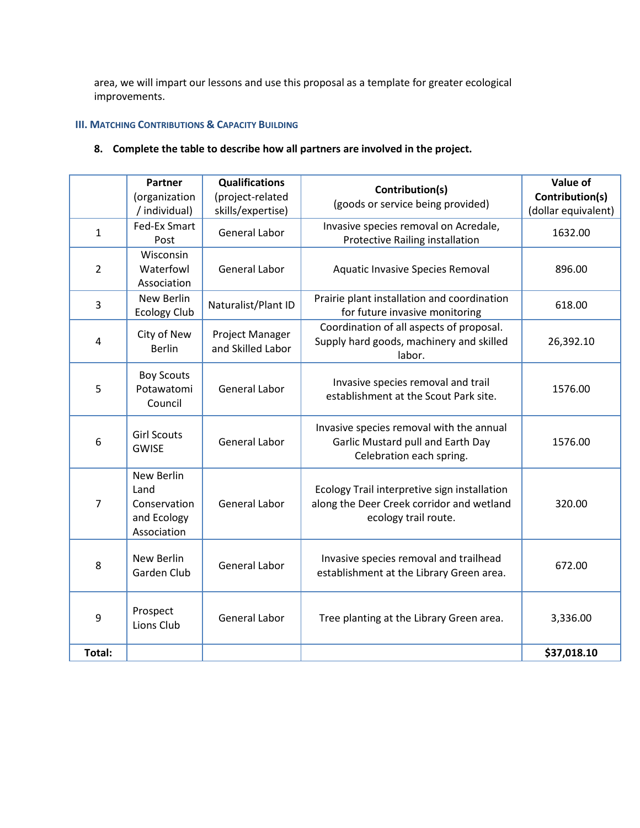area, we will impart our lessons and use this proposal as a template for greater ecological improvements.

#### **III. MATCHING CONTRIBUTIONS & CAPACITY BUILDING**

## **8. Complete the table to describe how all partners are involved in the project.**

|                | <b>Partner</b><br>(organization<br>/ individual)                 | <b>Qualifications</b><br>(project-related<br>skills/expertise) | Contribution(s)<br>(goods or service being provided)                                                              | Value of<br>Contribution(s)<br>(dollar equivalent) |
|----------------|------------------------------------------------------------------|----------------------------------------------------------------|-------------------------------------------------------------------------------------------------------------------|----------------------------------------------------|
| $\mathbf{1}$   | <b>Fed-Ex Smart</b><br>Post                                      | <b>General Labor</b>                                           | Invasive species removal on Acredale,<br>Protective Railing installation                                          | 1632.00                                            |
| $\overline{2}$ | Wisconsin<br>Waterfowl<br>Association                            | <b>General Labor</b>                                           | Aquatic Invasive Species Removal                                                                                  | 896.00                                             |
| 3              | New Berlin<br><b>Ecology Club</b>                                | Naturalist/Plant ID                                            | Prairie plant installation and coordination<br>for future invasive monitoring                                     | 618.00                                             |
| 4              | City of New<br><b>Berlin</b>                                     | Project Manager<br>and Skilled Labor                           | Coordination of all aspects of proposal.<br>Supply hard goods, machinery and skilled<br>labor.                    | 26,392.10                                          |
| 5              | <b>Boy Scouts</b><br>Potawatomi<br>Council                       | <b>General Labor</b>                                           | Invasive species removal and trail<br>establishment at the Scout Park site.                                       | 1576.00                                            |
| 6              | <b>Girl Scouts</b><br><b>GWISE</b>                               | <b>General Labor</b>                                           | Invasive species removal with the annual<br>Garlic Mustard pull and Earth Day<br>Celebration each spring.         | 1576.00                                            |
| 7              | New Berlin<br>Land<br>Conservation<br>and Ecology<br>Association | <b>General Labor</b>                                           | Ecology Trail interpretive sign installation<br>along the Deer Creek corridor and wetland<br>ecology trail route. | 320.00                                             |
| 8              | New Berlin<br>Garden Club                                        | <b>General Labor</b>                                           | Invasive species removal and trailhead<br>establishment at the Library Green area.                                | 672.00                                             |
| 9              | Prospect<br>Lions Club                                           | <b>General Labor</b>                                           | Tree planting at the Library Green area.                                                                          | 3,336.00                                           |
| Total:         |                                                                  |                                                                |                                                                                                                   | \$37,018.10                                        |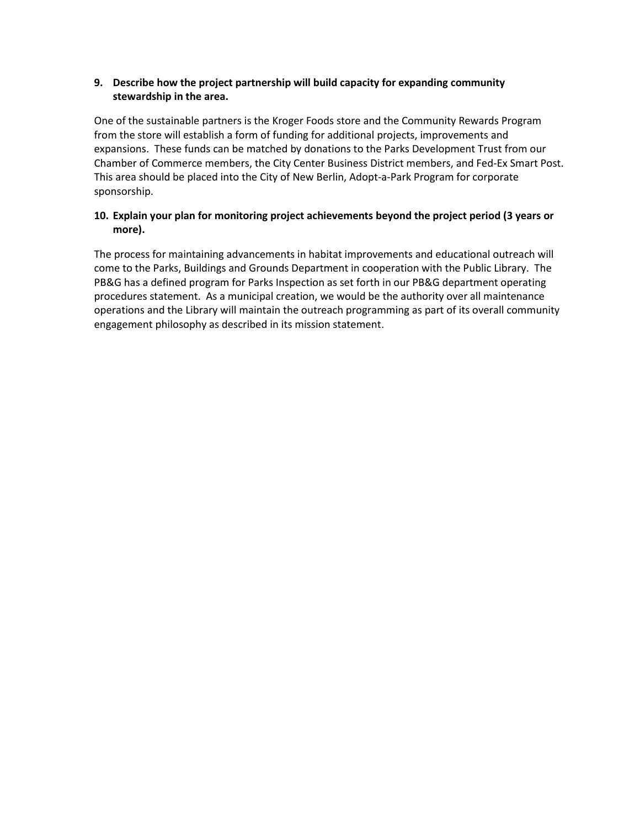## **9. Describe how the project partnership will build capacity for expanding community stewardship in the area.**

One of the sustainable partners is the Kroger Foods store and the Community Rewards Program from the store will establish a form of funding for additional projects, improvements and expansions. These funds can be matched by donations to the Parks Development Trust from our Chamber of Commerce members, the City Center Business District members, and Fed-Ex Smart Post. This area should be placed into the City of New Berlin, Adopt-a-Park Program for corporate sponsorship.

## **10. Explain your plan for monitoring project achievements beyond the project period (3 years or more).**

The process for maintaining advancements in habitat improvements and educational outreach will come to the Parks, Buildings and Grounds Department in cooperation with the Public Library. The PB&G has a defined program for Parks Inspection as set forth in our PB&G department operating procedures statement. As a municipal creation, we would be the authority over all maintenance operations and the Library will maintain the outreach programming as part of its overall community engagement philosophy as described in its mission statement.